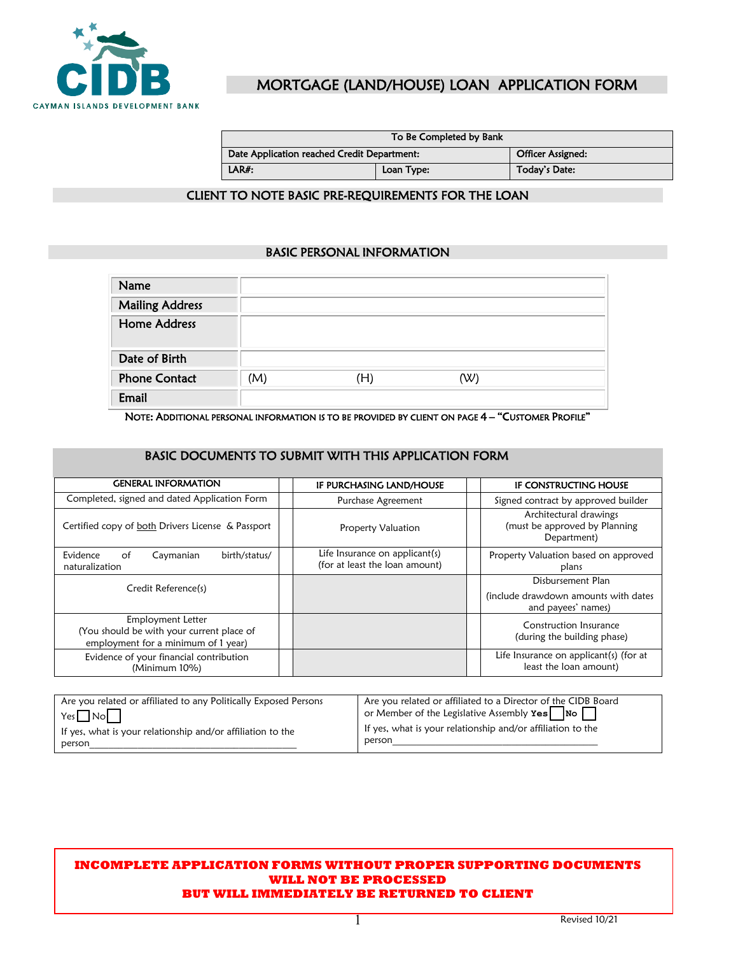

## MORTGAGE (LAND/HOUSE) LOAN APPLICATION FORM

| To Be Completed by Bank                     |                   |               |  |
|---------------------------------------------|-------------------|---------------|--|
| Date Application reached Credit Department: | Officer Assigned: |               |  |
| LAR#:<br>Loan Type:                         |                   | Today's Date: |  |

#### CLIENT TO NOTE BASIC PRE-REQUIREMENTS FOR THE LOAN

### BASIC PERSONAL INFORMATION

| Name                   |     |     |     |
|------------------------|-----|-----|-----|
| <b>Mailing Address</b> |     |     |     |
| <b>Home Address</b>    |     |     |     |
| Date of Birth          |     |     |     |
| <b>Phone Contact</b>   | (M) | (H) | (W) |
| Email                  |     |     |     |

NOTE: ADDITIONAL PERSONAL INFORMATION IS TO BE PROVIDED BY CLIENT ON PAGE 4 – "CUSTOMER PROFILE"

#### BASIC DOCUMENTS TO SUBMIT WITH THIS APPLICATION FORM

| <b>GENERAL INFORMATION</b>                                                                            |                                                                  |                                                                                 |
|-------------------------------------------------------------------------------------------------------|------------------------------------------------------------------|---------------------------------------------------------------------------------|
|                                                                                                       | IF PURCHASING LAND/HOUSE                                         | IF CONSTRUCTING HOUSE                                                           |
| Completed, signed and dated Application Form                                                          | Purchase Agreement                                               | Signed contract by approved builder                                             |
| Certified copy of both Drivers License & Passport                                                     | <b>Property Valuation</b>                                        | Architectural drawings<br>(must be approved by Planning<br>Department)          |
| Evidence<br>Caymanian<br>birth/status/<br>of<br>naturalization                                        | Life Insurance on applicant(s)<br>(for at least the loan amount) | Property Valuation based on approved<br>plans                                   |
| Credit Reference(s)                                                                                   |                                                                  | Disbursement Plan<br>(include drawdown amounts with dates<br>and payees' names) |
| Employment Letter<br>(You should be with your current place of<br>employment for a minimum of 1 year) |                                                                  | Construction Insurance<br>(during the building phase)                           |
| Evidence of your financial contribution<br>(Minimum 10%)                                              |                                                                  | Life Insurance on applicant(s) (for at<br>least the loan amount)                |

| Are you related or affiliated to any Politically Exposed Persons | Are you related or affiliated to a Director of the CIDB Board                |
|------------------------------------------------------------------|------------------------------------------------------------------------------|
| $Yes \Box No \Box$                                               | or Member of the Legislative Assembly $\texttt{Yes} \quad \texttt{No} \quad$ |
| If yes, what is your relationship and/or affiliation to the      | If yes, what is your relationship and/or affiliation to the                  |
| person                                                           | person                                                                       |

#### **INCOMPLETE APPLICATION FORMS WITHOUT PROPER SUPPORTING DOCUMENTS WILL NOT BE PROCESSED BUT WILL IMMEDIATELY BE RETURNED TO CLIENT**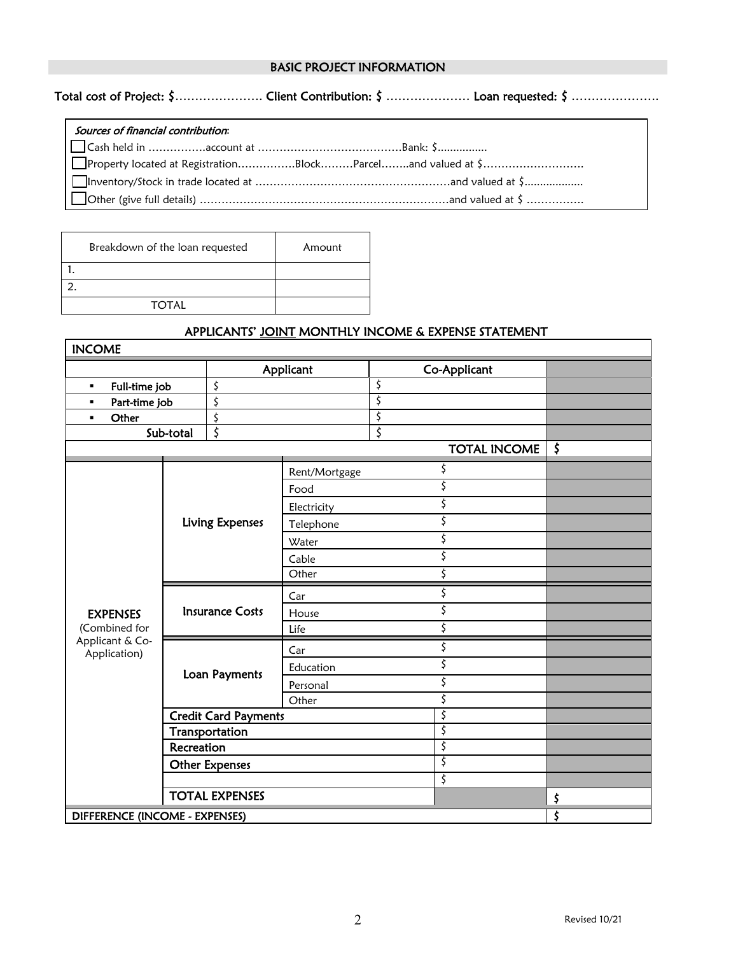### BASIC PROJECT INFORMATION

Total cost of Project: \$………………………… Client Contribution: \$ ……………………………………………………………

| Sources of financial contribution: |  |
|------------------------------------|--|
|                                    |  |
|                                    |  |
|                                    |  |
|                                    |  |

| Breakdown of the loan requested | Amount |
|---------------------------------|--------|
|                                 |        |
|                                 |        |
| <b>TOTAL</b>                    |        |

Г

## APPLICANTS' JOINT MONTHLY INCOME & EXPENSE STATEMENT

| <b>INCOME</b>                                                       |                             |                       |             |    |                     |         |
|---------------------------------------------------------------------|-----------------------------|-----------------------|-------------|----|---------------------|---------|
|                                                                     |                             | Applicant             |             |    | Co-Applicant        |         |
| Full-time job<br>٠                                                  |                             | \$                    |             | \$ |                     |         |
| Part-time job<br>$\blacksquare$                                     |                             | \$                    |             | \$ |                     |         |
| Other<br>٠                                                          |                             | \$                    |             | \$ |                     |         |
|                                                                     | Sub-total                   | \$                    |             | \$ |                     |         |
|                                                                     |                             |                       |             |    | <b>TOTAL INCOME</b> | $\zeta$ |
|                                                                     |                             | Rent/Mortgage         |             | \$ |                     |         |
|                                                                     |                             |                       | Food        |    | \$                  |         |
|                                                                     |                             |                       | Electricity |    | \$                  |         |
|                                                                     |                             | Living Expenses       | Telephone   |    | \$                  |         |
| <b>EXPENSES</b><br>(Combined for<br>Applicant & Co-<br>Application) |                             |                       | Water       |    | \$                  |         |
|                                                                     |                             |                       | Cable       |    | \$                  |         |
|                                                                     |                             |                       | Other       |    | \$                  |         |
|                                                                     |                             |                       | Car         |    | \$                  |         |
|                                                                     | <b>Insurance Costs</b>      | House                 |             | \$ |                     |         |
|                                                                     |                             |                       | Life        |    | \$                  |         |
|                                                                     |                             |                       | Car         |    | \$                  |         |
|                                                                     | Loan Payments               | Education             |             | \$ |                     |         |
|                                                                     |                             |                       | Personal    |    | \$                  |         |
|                                                                     |                             |                       | Other       |    | \$                  |         |
|                                                                     | <b>Credit Card Payments</b> |                       |             |    | \$                  |         |
|                                                                     | Transportation              |                       |             |    | \$                  |         |
| Recreation                                                          |                             |                       |             |    | $\overline{\zeta}$  |         |
|                                                                     | <b>Other Expenses</b>       |                       |             |    | \$                  |         |
|                                                                     |                             |                       |             |    | \$                  |         |
|                                                                     |                             | <b>TOTAL EXPENSES</b> |             |    |                     | \$      |
| DIFFERENCE (INCOME - EXPENSES)                                      |                             |                       |             |    | \$                  |         |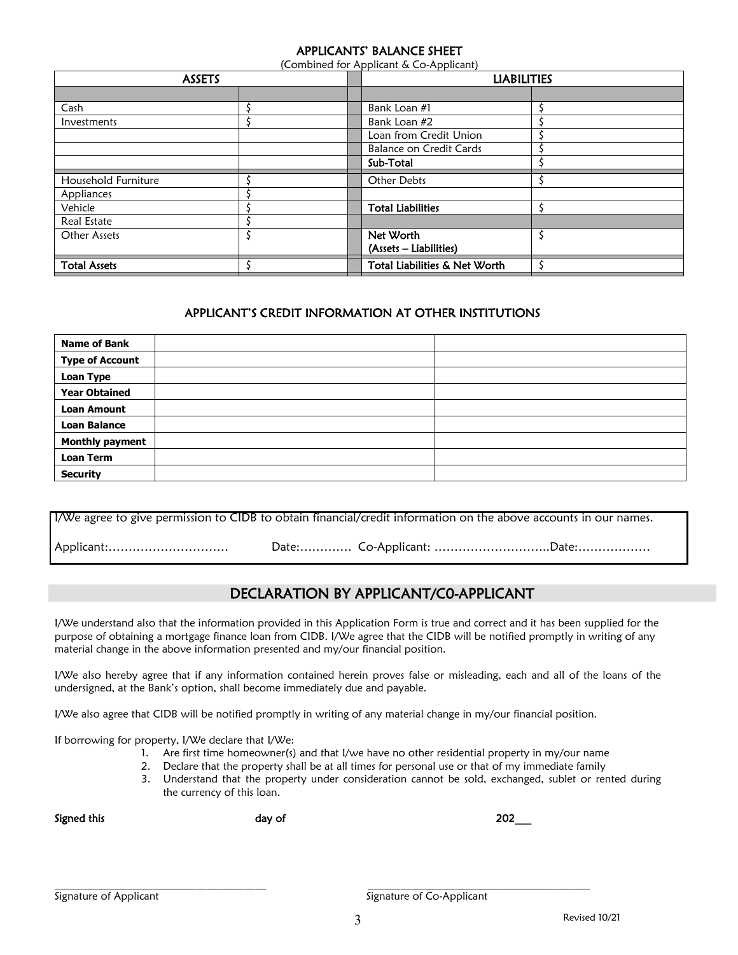### APPLICANTS' BALANCE SHEET

(Combined for Applicant & Co-Applicant)

| <b>ASSETS</b>       |  |  | <b>LIABILITIES</b>             |  |  |
|---------------------|--|--|--------------------------------|--|--|
|                     |  |  |                                |  |  |
| Cash                |  |  | Bank Loan #1                   |  |  |
| Investments         |  |  | Bank Loan #2                   |  |  |
|                     |  |  | Loan from Credit Union         |  |  |
|                     |  |  | <b>Balance on Credit Cards</b> |  |  |
|                     |  |  | Sub-Total                      |  |  |
| Household Furniture |  |  | Other Debts                    |  |  |
| Appliances          |  |  |                                |  |  |
| Vehicle             |  |  | <b>Total Liabilities</b>       |  |  |
| <b>Real Estate</b>  |  |  |                                |  |  |
| Other Assets        |  |  | Net Worth                      |  |  |
|                     |  |  | (Assets - Liabilities)         |  |  |
| <b>Total Assets</b> |  |  | Total Liabilities & Net Worth  |  |  |

### APPLICANT'S CREDIT INFORMATION AT OTHER INSTITUTIONS

| <b>Name of Bank</b>    |  |
|------------------------|--|
| <b>Type of Account</b> |  |
| <b>Loan Type</b>       |  |
| <b>Year Obtained</b>   |  |
| <b>Loan Amount</b>     |  |
| <b>Loan Balance</b>    |  |
| <b>Monthly payment</b> |  |
| <b>Loan Term</b>       |  |
| <b>Security</b>        |  |

I/We agree to give permission to CIDB to obtain financial/credit information on the above accounts in our names. Applicant:………………………… Date:…………. Co-Applicant: ………………………..Date:………………

## DECLARATION BY APPLICANT/C0-APPLICANT

I/We understand also that the information provided in this Application Form is true and correct and it has been supplied for the purpose of obtaining a mortgage finance loan from CIDB. I/We agree that the CIDB will be notified promptly in writing of any material change in the above information presented and my/our financial position.

I/We also hereby agree that if any information contained herein proves false or misleading, each and all of the loans of the undersigned, at the Bank's option, shall become immediately due and payable.

I/We also agree that CIDB will be notified promptly in writing of any material change in my/our financial position.

If borrowing for property, I/We declare that I/We:

- 1. Are first time homeowner(s) and that I/we have no other residential property in my/our name
- 2. Declare that the property shall be at all times for personal use or that of my immediate family
- 3. Understand that the property under consideration cannot be sold, exchanged, sublet or rented during the currency of this loan.

Signed this day of 202\_\_\_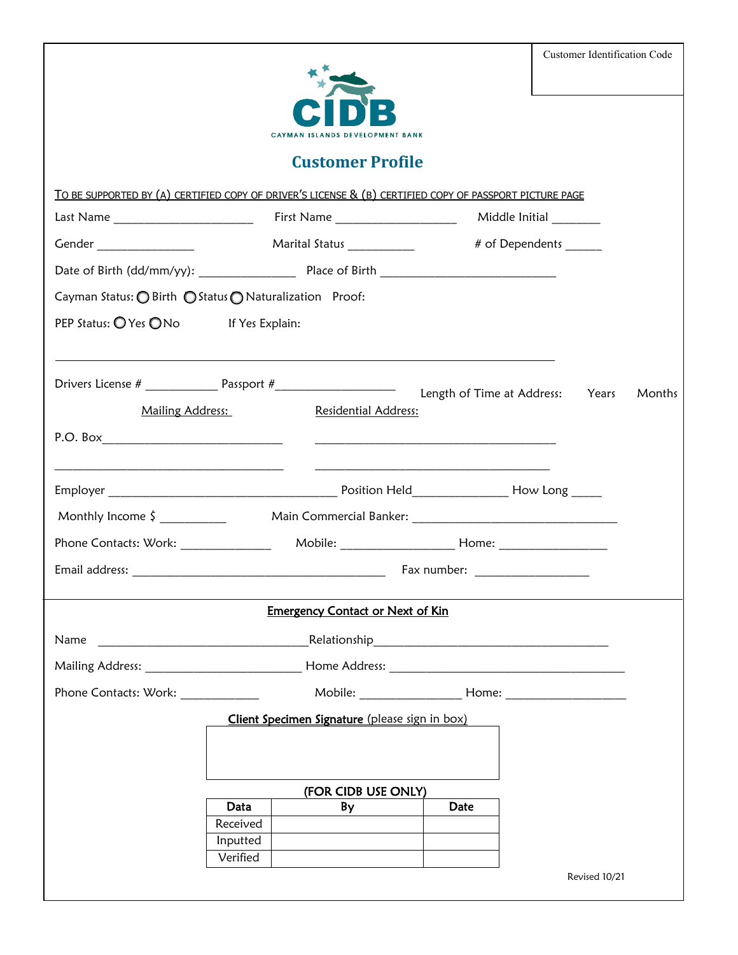| <b>Customer Identification Code</b>                                                                     |          |                                                |      |                       |        |  |  |
|---------------------------------------------------------------------------------------------------------|----------|------------------------------------------------|------|-----------------------|--------|--|--|
| <b>ISLANDS DEVELOPMENT BANK</b>                                                                         |          |                                                |      |                       |        |  |  |
|                                                                                                         |          | <b>Customer Profile</b>                        |      |                       |        |  |  |
| TO BE SUPPORTED BY (A) CERTIFIED COPY OF DRIVER'S LICENSE & (B) CERTIFIED COPY OF PASSPORT PICTURE PAGE |          |                                                |      |                       |        |  |  |
|                                                                                                         |          |                                                |      |                       |        |  |  |
|                                                                                                         |          |                                                |      | # of Dependents _____ |        |  |  |
|                                                                                                         |          |                                                |      |                       |        |  |  |
| Cayman Status: O Birth ○ Status O Naturalization Proof:                                                 |          |                                                |      |                       |        |  |  |
| PEP Status: O Yes O No If Yes Explain:                                                                  |          |                                                |      |                       |        |  |  |
|                                                                                                         |          |                                                |      |                       |        |  |  |
|                                                                                                         |          |                                                |      |                       | Months |  |  |
| Mailing Address:                                                                                        |          | Residential Address:                           |      |                       |        |  |  |
|                                                                                                         |          |                                                |      |                       |        |  |  |
|                                                                                                         |          |                                                |      |                       |        |  |  |
|                                                                                                         |          |                                                |      |                       |        |  |  |
|                                                                                                         |          |                                                |      |                       |        |  |  |
|                                                                                                         |          |                                                |      |                       |        |  |  |
|                                                                                                         |          |                                                |      |                       |        |  |  |
| <b>Emergency Contact or Next of Kin</b>                                                                 |          |                                                |      |                       |        |  |  |
|                                                                                                         |          |                                                |      |                       |        |  |  |
| Name                                                                                                    |          |                                                |      |                       |        |  |  |
|                                                                                                         |          |                                                |      |                       |        |  |  |
|                                                                                                         |          |                                                |      |                       |        |  |  |
|                                                                                                         |          | Client Specimen Signature (please sign in box) |      |                       |        |  |  |
|                                                                                                         |          |                                                |      |                       |        |  |  |
|                                                                                                         |          |                                                |      |                       |        |  |  |
|                                                                                                         | Data     | (FOR CIDB USE ONLY)<br>By                      | Date |                       |        |  |  |
|                                                                                                         | Received |                                                |      |                       |        |  |  |
|                                                                                                         | Inputted |                                                |      |                       |        |  |  |
|                                                                                                         | Verified |                                                |      |                       |        |  |  |
|                                                                                                         |          |                                                |      | Revised 10/21         |        |  |  |